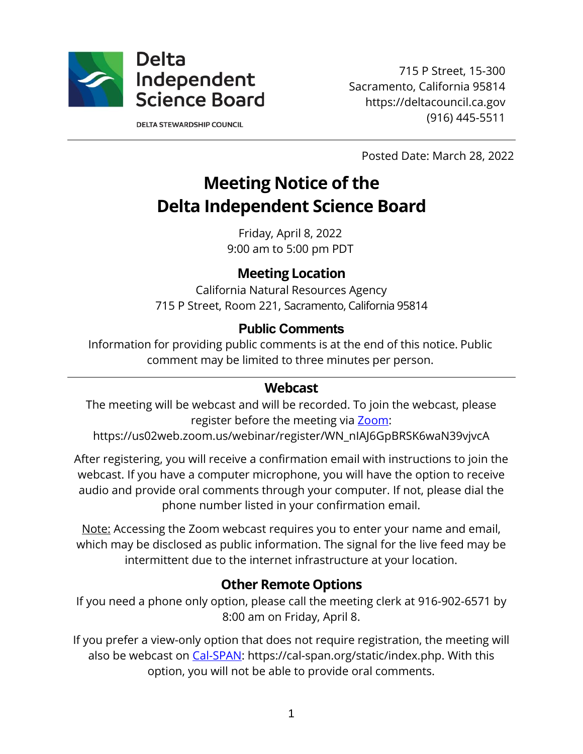

715 P Street, 15-300 Sacramento, California 95814 https://deltacouncil.ca.gov (916) 445-5511

**DELTA STEWARDSHIP COUNCIL** 

Posted Date: March 28, 2022

# **Meeting Notice of the Delta Independent Science Board**

Friday, April 8, 2022 9:00 am to 5:00 pm PDT

#### **Meeting Location**

California Natural Resources Agency 715 P Street, Room 221, Sacramento, California 95814

#### **Public Comments**

Information for providing public comments is at the end of this notice. Public comment may be limited to three minutes per person.

#### **Webcast**

The meeting will be webcast and will be recorded. To join the webcast, please register before the meeting via [Zoom:](https://us02web.zoom.us/webinar/register/WN_nIAJ6GpBRSK6waN39vjvcA)

https://us02web.zoom.us/webinar/register/WN\_nIAJ6GpBRSK6waN39vjvcA

After registering, you will receive a confirmation email with instructions to join the webcast. If you have a computer microphone, you will have the option to receive audio and provide oral comments through your computer. If not, please dial the phone number listed in your confirmation email.

Note: Accessing the Zoom webcast requires you to enter your name and email, which may be disclosed as public information. The signal for the live feed may be intermittent due to the internet infrastructure at your location.

## **Other Remote Options**

If you need a phone only option, please call the meeting clerk at 916-902-6571 by 8:00 am on Friday, April 8.

If you prefer a view-only option that does not require registration, the meeting will also be webcast on [Cal-SPAN:](https://cal-span.org/static/index.php) https://cal-span.org/static/index.php. With this option, you will not be able to provide oral comments.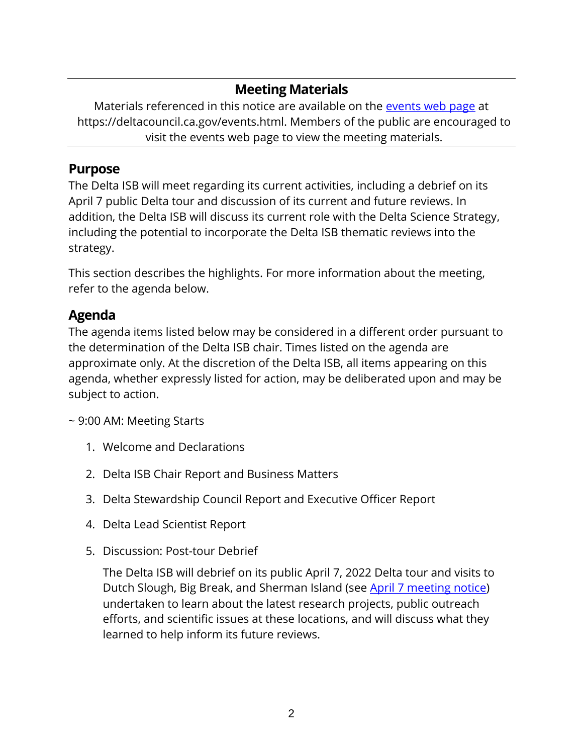# **Meeting Materials**

Materials referenced in this notice are available on the [events web page](https://deltacouncil.ca.gov/events.html) at https://deltacouncil.ca.gov/events.html. Members of the public are encouraged to visit the events web page to view the meeting materials.

## **Purpose**

The Delta ISB will meet regarding its current activities, including a debrief on its April 7 public Delta tour and discussion of its current and future reviews. In addition, the Delta ISB will discuss its current role with the Delta Science Strategy, including the potential to incorporate the Delta ISB thematic reviews into the strategy.

This section describes the highlights. For more information about the meeting, refer to the agenda below.

## **Agenda**

The agenda items listed below may be considered in a different order pursuant to the determination of the Delta ISB chair. Times listed on the agenda are approximate only. At the discretion of the Delta ISB, all items appearing on this agenda, whether expressly listed for action, may be deliberated upon and may be subject to action.

~ 9:00 AM: Meeting Starts

- 1. Welcome and Declarations
- 2. Delta ISB Chair Report and Business Matters
- 3. Delta Stewardship Council Report and Executive Officer Report
- 4. Delta Lead Scientist Report
- 5. Discussion: Post-tour Debrief

The Delta ISB will debrief on its public April 7, 2022 Delta tour and visits to Dutch Slough, Big Break, and Sherman Island (see [April 7 meeting notice\)](https://deltacouncil.ca.gov/pdf/isb/meeting-notice/2022-03-28-isb-meeting-notice-tour.pdf) undertaken to learn about the latest research projects, public outreach efforts, and scientific issues at these locations, and will discuss what they learned to help inform its future reviews.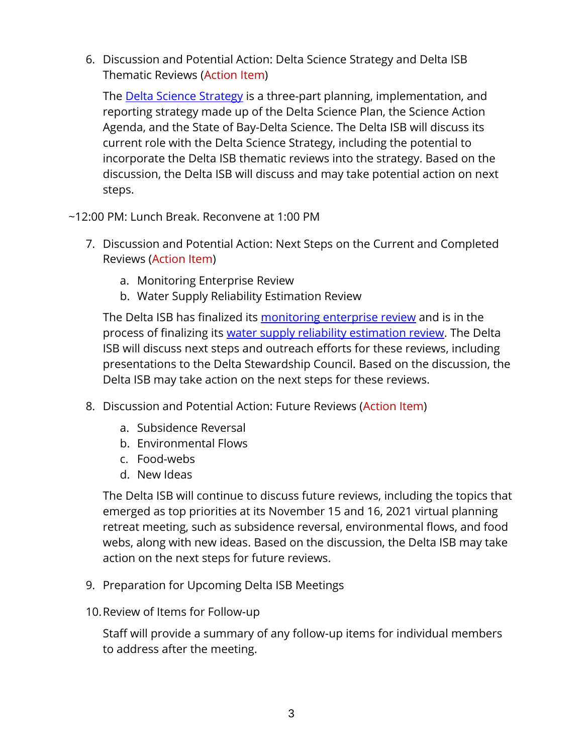6. Discussion and Potential Action: Delta Science Strategy and Delta ISB Thematic Reviews (Action Item)

The [Delta Science Strategy](https://deltacouncil.ca.gov/delta-science-program/delta-science-strategy) is a three-part planning, implementation, and reporting strategy made up of the Delta Science Plan, the Science Action Agenda, and the State of Bay-Delta Science. The Delta ISB will discuss its current role with the Delta Science Strategy, including the potential to incorporate the Delta ISB thematic reviews into the strategy. Based on the discussion, the Delta ISB will discuss and may take potential action on next steps.

- ~12:00 PM: Lunch Break. Reconvene at 1:00 PM
	- 7. Discussion and Potential Action: Next Steps on the Current and Completed Reviews (Action Item)
		- a. Monitoring Enterprise Review
		- b. Water Supply Reliability Estimation Review

The Delta ISB has finalized its [monitoring enterprise review](https://deltacouncil.ca.gov/pdf/isb/products/2022-03-22-isb-monitoring-enterprise-review.pdf) and is in the process of finalizing its [water supply reliability estimation review.](https://deltacouncil.ca.gov/pdf/isb/meeting-materials/2022-02-02-isb-draft-water-supply-review.pdf) The Delta ISB will discuss next steps and outreach efforts for these reviews, including presentations to the Delta Stewardship Council. Based on the discussion, the Delta ISB may take action on the next steps for these reviews.

- 8. Discussion and Potential Action: Future Reviews (Action Item)
	- a. Subsidence Reversal
	- b. Environmental Flows
	- c. Food-webs
	- d. New Ideas

The Delta ISB will continue to discuss future reviews, including the topics that emerged as top priorities at its November 15 and 16, 2021 virtual planning retreat meeting, such as subsidence reversal, environmental flows, and food webs, along with new ideas. Based on the discussion, the Delta ISB may take action on the next steps for future reviews.

- 9. Preparation for Upcoming Delta ISB Meetings
- 10.Review of Items for Follow-up

Staff will provide a summary of any follow-up items for individual members to address after the meeting.